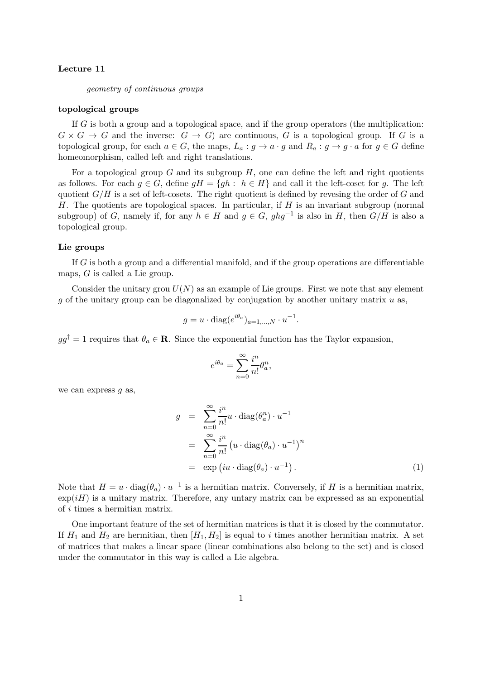# Lecture 11

geometry of continuous groups

## topological groups

If G is both a group and a topological space, and if the group operators (the multiplication:  $G \times G \to G$  and the inverse:  $G \to G$  are continuous, G is a topological group. If G is a topological group, for each  $a \in G$ , the maps,  $L_a : g \to a \cdot g$  and  $R_a : g \to g \cdot a$  for  $g \in G$  define homeomorphism, called left and right translations.

For a topological group  $G$  and its subgroup  $H$ , one can define the left and right quotients as follows. For each  $g \in G$ , define  $gH = \{gh : h \in H\}$  and call it the left-coset for g. The left quotient  $G/H$  is a set of left-cosets. The right quotient is defined by revesing the order of G and H. The quotients are topological spaces. In particular, if  $H$  is an invariant subgroup (normal subgroup) of G, namely if, for any  $h \in H$  and  $g \in G$ ,  $ghg^{-1}$  is also in H, then  $G/H$  is also a topological group.

## Lie groups

If  $G$  is both a group and a differential manifold, and if the group operations are differentiable maps, G is called a Lie group.

Consider the unitary grou  $U(N)$  as an example of Lie groups. First we note that any element q of the unitary group can be diagonalized by conjugation by another unitary matrix  $u$  as,

$$
g = u \cdot \text{diag}(e^{i\theta_a})_{a=1,\dots,N} \cdot u^{-1}.
$$

 $gg^{\dagger} = 1$  requires that  $\theta_a \in \mathbf{R}$ . Since the exponential function has the Taylor expansion,

$$
e^{i\theta_a} = \sum_{n=0}^{\infty} \frac{i^n}{n!} \theta_a^n,
$$

we can express  $q$  as,

$$
g = \sum_{n=0}^{\infty} \frac{i^n}{n!} u \cdot \text{diag}(\theta_a^n) \cdot u^{-1}
$$
  
= 
$$
\sum_{n=0}^{\infty} \frac{i^n}{n!} \left( u \cdot \text{diag}(\theta_a) \cdot u^{-1} \right)^n
$$
  
= 
$$
\exp\left( i u \cdot \text{diag}(\theta_a) \cdot u^{-1} \right).
$$
 (1)

Note that  $H = u \cdot diag(\theta_a) \cdot u^{-1}$  is a hermitian matrix. Conversely, if H is a hermitian matrix,  $\exp(iH)$  is a unitary matrix. Therefore, any untary matrix can be expressed as an exponential of i times a hermitian matrix.

One important feature of the set of hermitian matrices is that it is closed by the commutator. If  $H_1$  and  $H_2$  are hermitian, then  $[H_1, H_2]$  is equal to i times another hermitian matrix. A set of matrices that makes a linear space (linear combinations also belong to the set) and is closed under the commutator in this way is called a Lie algebra.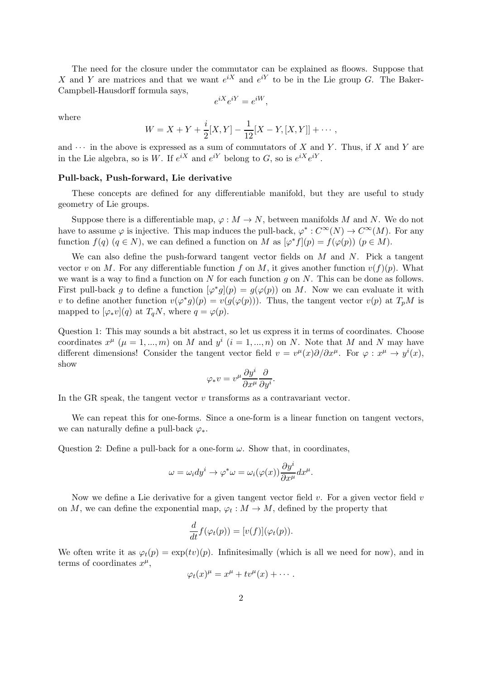The need for the closure under the commutator can be explained as floows. Suppose that X and Y are matrices and that we want  $e^{iX}$  and  $e^{iY}$  to be in the Lie group G. The Baker-Campbell-Hausdorff formula says,

$$
e^{iX}e^{iY} = e^{iW},
$$

where

$$
W = X + Y + \frac{i}{2}[X, Y] - \frac{1}{12}[X - Y, [X, Y]] + \cdots,
$$

and  $\cdots$  in the above is expressed as a sum of commutators of X and Y. Thus, if X and Y are in the Lie algebra, so is W. If  $e^{iX}$  and  $e^{iY}$  belong to G, so is  $e^{iX}e^{iY}$ .

### Pull-back, Push-forward, Lie derivative

These concepts are defined for any differentiable manifold, but they are useful to study geometry of Lie groups.

Suppose there is a differentiable map,  $\varphi : M \to N$ , between manifolds M and N. We do not have to assume  $\varphi$  is injective. This map induces the pull-back,  $\varphi^*: C^{\infty}(N) \to C^{\infty}(M)$ . For any function  $f(q)$   $(q \in N)$ , we can defined a function on M as  $[\varphi^* f](p) = f(\varphi(p))$   $(p \in M)$ .

We can also define the push-forward tangent vector fields on M and N. Pick a tangent vector v on M. For any differentiable function f on M, it gives another function  $v(f)(p)$ . What we want is a way to find a function on N for each function  $q$  on N. This can be done as follows. First pull-back g to define a function  $[\varphi^* g](p) = g(\varphi(p))$  on M. Now we can evaluate it with v to define another function  $v(\varphi^* g)(p) = v(g(\varphi(p)))$ . Thus, the tangent vector  $v(p)$  at  $T_pM$  is mapped to  $[\varphi_* v](q)$  at  $T_qN$ , where  $q = \varphi(p)$ .

Question 1: This may sounds a bit abstract, so let us express it in terms of coordinates. Choose coordinates  $x^{\mu}$  ( $\mu = 1, ..., m$ ) on M and  $y^{i}$  ( $i = 1, ..., n$ ) on N. Note that M and N may have different dimensions! Consider the tangent vector field  $v = v^{\mu}(x)\partial/\partial x^{\mu}$ . For  $\varphi : x^{\mu} \to y^{i}(x)$ , show

$$
\varphi_*v=v^\mu\frac{\partial y^i}{\partial x^\mu}\frac{\partial}{\partial y^i}.
$$

In the GR speak, the tangent vector  $v$  transforms as a contravariant vector.

We can repeat this for one-forms. Since a one-form is a linear function on tangent vectors, we can naturally define a pull-back  $\varphi_*$ .

Question 2: Define a pull-back for a one-form  $\omega$ . Show that, in coordinates,

$$
\omega = \omega_i dy^i \to \varphi^* \omega = \omega_i(\varphi(x)) \frac{\partial y^i}{\partial x^\mu} dx^\mu.
$$

Now we define a Lie derivative for a given tangent vector field  $v$ . For a given vector field  $v$ on M, we can define the exponential map,  $\varphi_t : M \to M$ , defined by the property that

$$
\frac{d}{dt}f(\varphi_t(p)) = [v(f)](\varphi_t(p)).
$$

We often write it as  $\varphi_t(p) = \exp(tv)(p)$ . Infinitesimally (which is all we need for now), and in terms of coordinates  $x^{\mu}$ ,

$$
\varphi_t(x)^\mu = x^\mu + tv^\mu(x) + \cdots.
$$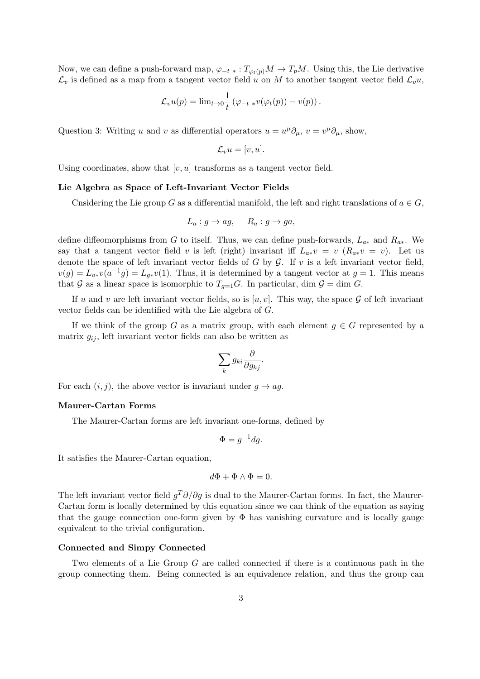Now, we can define a push-forward map,  $\varphi_{-t}$  \* :  $T_{\varphi_t(p)}M \to T_pM$ . Using this, the Lie derivative  $\mathcal{L}_v$  is defined as a map from a tangent vector field u on M to another tangent vector field  $\mathcal{L}_v u$ ,

$$
\mathcal{L}_v u(p) = \lim_{t \to 0} \frac{1}{t} \left( \varphi_{-t} * v(\varphi_t(p)) - v(p) \right).
$$

Question 3: Writing u and v as differential operators  $u = u^{\mu} \partial_{\mu}, v = v^{\mu} \partial_{\mu}$ , show,

$$
\mathcal{L}_v u = [v, u].
$$

Using coordinates, show that  $[v, u]$  transforms as a tangent vector field.

#### Lie Algebra as Space of Left-Invariant Vector Fields

Cnsidering the Lie group G as a differential manifold, the left and right translations of  $a \in G$ ,

$$
L_a: g \to ag, \quad R_a: g \to ga,
$$

define diffeomorphisms from G to itself. Thus, we can define push-forwards,  $L_{a*}$  and  $R_{a*}$ . We say that a tangent vector field v is left (right) invariant iff  $L_{a*}v = v$  ( $R_{a*}v = v$ ). Let us denote the space of left invariant vector fields of  $G$  by  $G$ . If  $v$  is a left invariant vector field,  $v(g) = L_{a*}v(a^{-1}g) = L_{g*}v(1)$ . Thus, it is determined by a tangent vector at  $g = 1$ . This means that G as a linear space is isomorphic to  $T_{q=1}G$ . In particular, dim  $\mathcal{G} = \dim G$ .

If u and v are left invariant vector fields, so is  $[u, v]$ . This way, the space G of left invariant vector fields can be identified with the Lie algebra of G.

If we think of the group G as a matrix group, with each element  $g \in G$  represented by a matrix  $g_{ij}$ , left invariant vector fields can also be written as

$$
\sum_{k} g_{ki} \frac{\partial}{\partial g_{kj}}.
$$

For each  $(i, j)$ , the above vector is invariant under  $g \rightarrow ag$ .

## Maurer-Cartan Forms

The Maurer-Cartan forms are left invariant one-forms, defined by

$$
\Phi = g^{-1} dg.
$$

It satisfies the Maurer-Cartan equation,

$$
d\Phi + \Phi \wedge \Phi = 0.
$$

The left invariant vector field  $g^T \partial / \partial g$  is dual to the Maurer-Cartan forms. In fact, the Maurer-Cartan form is locally determined by this equation since we can think of the equation as saying that the gauge connection one-form given by  $\Phi$  has vanishing curvature and is locally gauge equivalent to the trivial configuration.

### Connected and Simpy Connected

Two elements of a Lie Group G are called connected if there is a continuous path in the group connecting them. Being connected is an equivalence relation, and thus the group can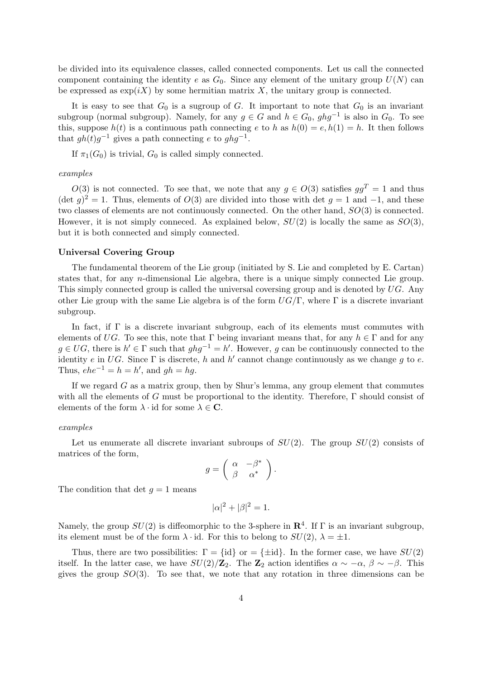be divided into its equivalence classes, called connected components. Let us call the connected component containing the identity e as  $G_0$ . Since any element of the unitary group  $U(N)$  can be expressed as  $\exp(iX)$  by some hermitian matrix X, the unitary group is connected.

It is easy to see that  $G_0$  is a sugroup of G. It important to note that  $G_0$  is an invariant subgroup (normal subgroup). Namely, for any  $g \in G$  and  $h \in G_0$ ,  $ghg^{-1}$  is also in  $G_0$ . To see this, suppose  $h(t)$  is a continuous path connecting e to h as  $h(0) = e, h(1) = h$ . It then follows that  $gh(t)g^{-1}$  gives a path connecting e to  $ghg^{-1}$ .

If  $\pi_1(G_0)$  is trivial,  $G_0$  is called simply connected.

### examples

 $O(3)$  is not connected. To see that, we note that any  $q \in O(3)$  satisfies  $qq^T = 1$  and thus  $(\det g)^2 = 1$ . Thus, elements of  $O(3)$  are divided into those with det  $g = 1$  and  $-1$ , and these two classes of elements are not continuously connected. On the other hand, SO(3) is connected. However, it is not simply conneced. As explained below,  $SU(2)$  is locally the same as  $SO(3)$ , but it is both connected and simply connected.

#### Universal Covering Group

The fundamental theorem of the Lie group (initiated by S. Lie and completed by E. Cartan) states that, for any n-dimensional Lie algebra, there is a unique simply connected Lie group. This simply connected group is called the universal coversing group and is denoted by UG. Any other Lie group with the same Lie algebra is of the form  $UG/\Gamma$ , where  $\Gamma$  is a discrete invariant subgroup.

In fact, if  $\Gamma$  is a discrete invariant subgroup, each of its elements must commutes with elements of UG. To see this, note that  $\Gamma$  being invariant means that, for any  $h \in \Gamma$  and for any  $g \in UG$ , there is  $h' \in \Gamma$  such that  $ghg^{-1} = h'$ . However, g can be continuously connected to the identity e in UG. Since  $\Gamma$  is discrete, h and h' cannot change continuously as we change g to e. Thus,  $ehe^{-1} = h = h'$ , and  $gh = hg$ .

If we regard  $G$  as a matrix group, then by Shur's lemma, any group element that commutes with all the elements of G must be proportional to the identity. Therefore,  $\Gamma$  should consist of elements of the form  $\lambda \cdot id$  for some  $\lambda \in \mathbb{C}$ .

#### examples

Let us enumerate all discrete invariant subroups of  $SU(2)$ . The group  $SU(2)$  consists of matrices of the form,

$$
g = \left(\begin{array}{cc} \alpha & -\beta^* \\ \beta & \alpha^* \end{array}\right).
$$

The condition that det  $q = 1$  means

$$
|\alpha|^2 + |\beta|^2 = 1.
$$

Namely, the group  $SU(2)$  is diffeomorphic to the 3-sphere in  $\mathbb{R}^4$ . If  $\Gamma$  is an invariant subgroup, its element must be of the form  $\lambda \cdot id$ . For this to belong to  $SU(2)$ ,  $\lambda = \pm 1$ .

Thus, there are two possibilities:  $\Gamma = \{\text{id}\}\$  or  $= \{\pm \text{id}\}\$ . In the former case, we have  $SU(2)$ itself. In the latter case, we have  $SU(2)/\mathbb{Z}_2$ . The  $\mathbb{Z}_2$  action identifies  $\alpha \sim -\alpha$ ,  $\beta \sim -\beta$ . This gives the group  $SO(3)$ . To see that, we note that any rotation in three dimensions can be